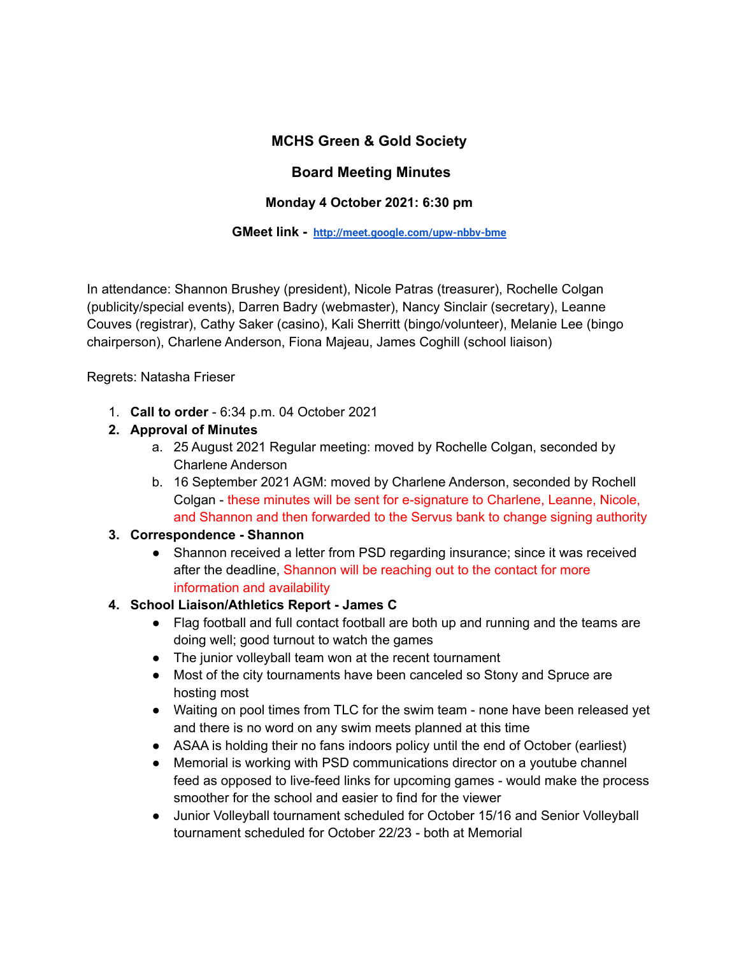## **MCHS Green & Gold Society**

### **Board Meeting Minutes**

### **Monday 4 October 2021: 6:30 pm**

#### **GMeet link - <http://meet.google.com/upw-nbbv-bme>**

In attendance: Shannon Brushey (president), Nicole Patras (treasurer), Rochelle Colgan (publicity/special events), Darren Badry (webmaster), Nancy Sinclair (secretary), Leanne Couves (registrar), Cathy Saker (casino), Kali Sherritt (bingo/volunteer), Melanie Lee (bingo chairperson), Charlene Anderson, Fiona Majeau, James Coghill (school liaison)

Regrets: Natasha Frieser

1. **Call to order** - 6:34 p.m. 04 October 2021

#### **2. Approval of Minutes**

- a. 25 August 2021 Regular meeting: moved by Rochelle Colgan, seconded by Charlene Anderson
- b. 16 September 2021 AGM: moved by Charlene Anderson, seconded by Rochell Colgan - these minutes will be sent for e-signature to Charlene, Leanne, Nicole, and Shannon and then forwarded to the Servus bank to change signing authority

#### **3. Correspondence - Shannon**

• Shannon received a letter from PSD regarding insurance; since it was received after the deadline, Shannon will be reaching out to the contact for more information and availability

#### **4. School Liaison/Athletics Report - James C**

- Flag football and full contact football are both up and running and the teams are doing well; good turnout to watch the games
- The junior volleyball team won at the recent tournament
- Most of the city tournaments have been canceled so Stony and Spruce are hosting most
- Waiting on pool times from TLC for the swim team none have been released yet and there is no word on any swim meets planned at this time
- ASAA is holding their no fans indoors policy until the end of October (earliest)
- Memorial is working with PSD communications director on a youtube channel feed as opposed to live-feed links for upcoming games - would make the process smoother for the school and easier to find for the viewer
- Junior Volleyball tournament scheduled for October 15/16 and Senior Volleyball tournament scheduled for October 22/23 - both at Memorial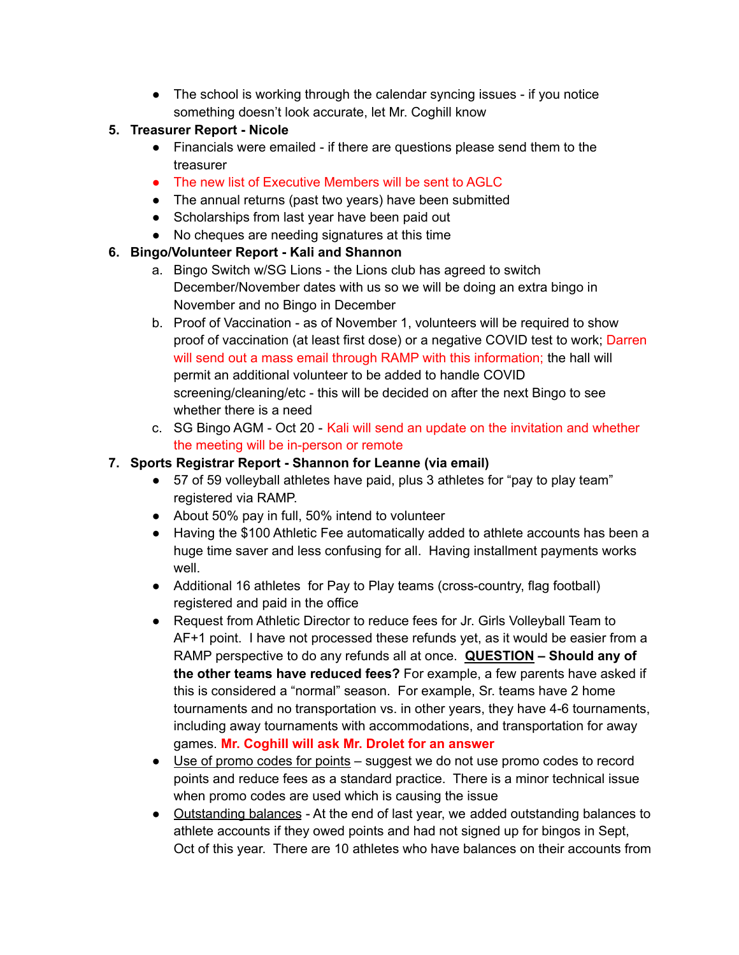• The school is working through the calendar syncing issues - if you notice something doesn't look accurate, let Mr. Coghill know

### **5. Treasurer Report - Nicole**

- Financials were emailed if there are questions please send them to the treasurer
- The new list of Executive Members will be sent to AGLC
- The annual returns (past two years) have been submitted
- Scholarships from last year have been paid out
- No cheques are needing signatures at this time

## **6. Bingo/Volunteer Report - Kali and Shannon**

- a. Bingo Switch w/SG Lions the Lions club has agreed to switch December/November dates with us so we will be doing an extra bingo in November and no Bingo in December
- b. Proof of Vaccination as of November 1, volunteers will be required to show proof of vaccination (at least first dose) or a negative COVID test to work; Darren will send out a mass email through RAMP with this information; the hall will permit an additional volunteer to be added to handle COVID screening/cleaning/etc - this will be decided on after the next Bingo to see whether there is a need
- c. SG Bingo AGM Oct 20 Kali will send an update on the invitation and whether the meeting will be in-person or remote

## **7. Sports Registrar Report - Shannon for Leanne (via email)**

- 57 of 59 volleyball athletes have paid, plus 3 athletes for "pay to play team" registered via RAMP.
- About 50% pay in full, 50% intend to volunteer
- Having the \$100 Athletic Fee automatically added to athlete accounts has been a huge time saver and less confusing for all. Having installment payments works well.
- Additional 16 athletes for Pay to Play teams (cross-country, flag football) registered and paid in the office
- Request from Athletic Director to reduce fees for Jr. Girls Volleyball Team to AF+1 point. I have not processed these refunds yet, as it would be easier from a RAMP perspective to do any refunds all at once. **QUESTION – Should any of the other teams have reduced fees?** For example, a few parents have asked if this is considered a "normal" season. For example, Sr. teams have 2 home tournaments and no transportation vs. in other years, they have 4-6 tournaments, including away tournaments with accommodations, and transportation for away games. **Mr. Coghill will ask Mr. Drolet for an answer**
- Use of promo codes for points suggest we do not use promo codes to record points and reduce fees as a standard practice. There is a minor technical issue when promo codes are used which is causing the issue
- Outstanding balances At the end of last year, we added outstanding balances to athlete accounts if they owed points and had not signed up for bingos in Sept, Oct of this year. There are 10 athletes who have balances on their accounts from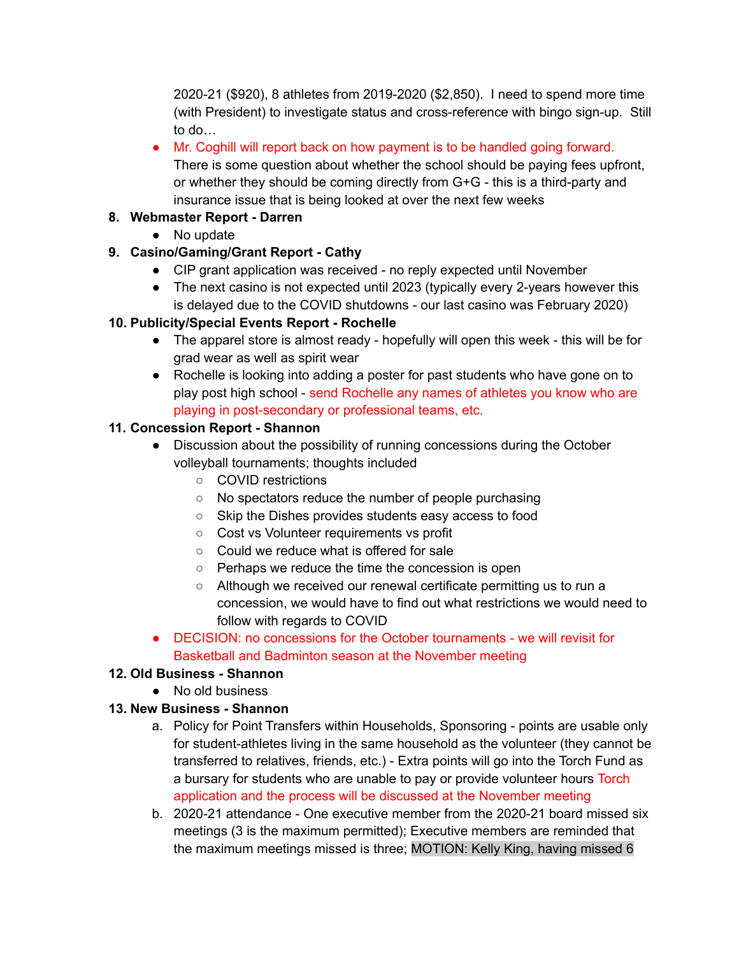2020-21 (\$920), 8 athletes from 2019-2020 (\$2,850). I need to spend more time (with President) to investigate status and cross-reference with bingo sign-up. Still to do…

• Mr. Coghill will report back on how payment is to be handled going forward. There is some question about whether the school should be paying fees upfront, or whether they should be coming directly from G+G - this is a third-party and insurance issue that is being looked at over the next few weeks

## **8. Webmaster Report - Darren**

• No update

# **9. Casino/Gaming/Grant Report - Cathy**

- CIP grant application was received no reply expected until November
- The next casino is not expected until 2023 (typically every 2-years however this is delayed due to the COVID shutdowns - our last casino was February 2020)

# **10. Publicity/Special Events Report - Rochelle**

- The apparel store is almost ready hopefully will open this week this will be for grad wear as well as spirit wear
- Rochelle is looking into adding a poster for past students who have gone on to play post high school - send Rochelle any names of athletes you know who are playing in post-secondary or professional teams, etc.

# **11. Concession Report - Shannon**

- Discussion about the possibility of running concessions during the October volleyball tournaments; thoughts included
	- COVID restrictions
	- No spectators reduce the number of people purchasing
	- Skip the Dishes provides students easy access to food
	- Cost vs Volunteer requirements vs profit
	- Could we reduce what is offered for sale
	- Perhaps we reduce the time the concession is open
	- Although we received our renewal certificate permitting us to run a concession, we would have to find out what restrictions we would need to follow with regards to COVID
- DECISION: no concessions for the October tournaments we will revisit for Basketball and Badminton season at the November meeting

# **12. Old Business - Shannon**

● No old business

# **13. New Business - Shannon**

- a. Policy for Point Transfers within Households, Sponsoring points are usable only for student-athletes living in the same household as the volunteer (they cannot be transferred to relatives, friends, etc.) - Extra points will go into the Torch Fund as a bursary for students who are unable to pay or provide volunteer hours Torch application and the process will be discussed at the November meeting
- b. 2020-21 attendance One executive member from the 2020-21 board missed six meetings (3 is the maximum permitted); Executive members are reminded that the maximum meetings missed is three; MOTION: Kelly King, having missed 6